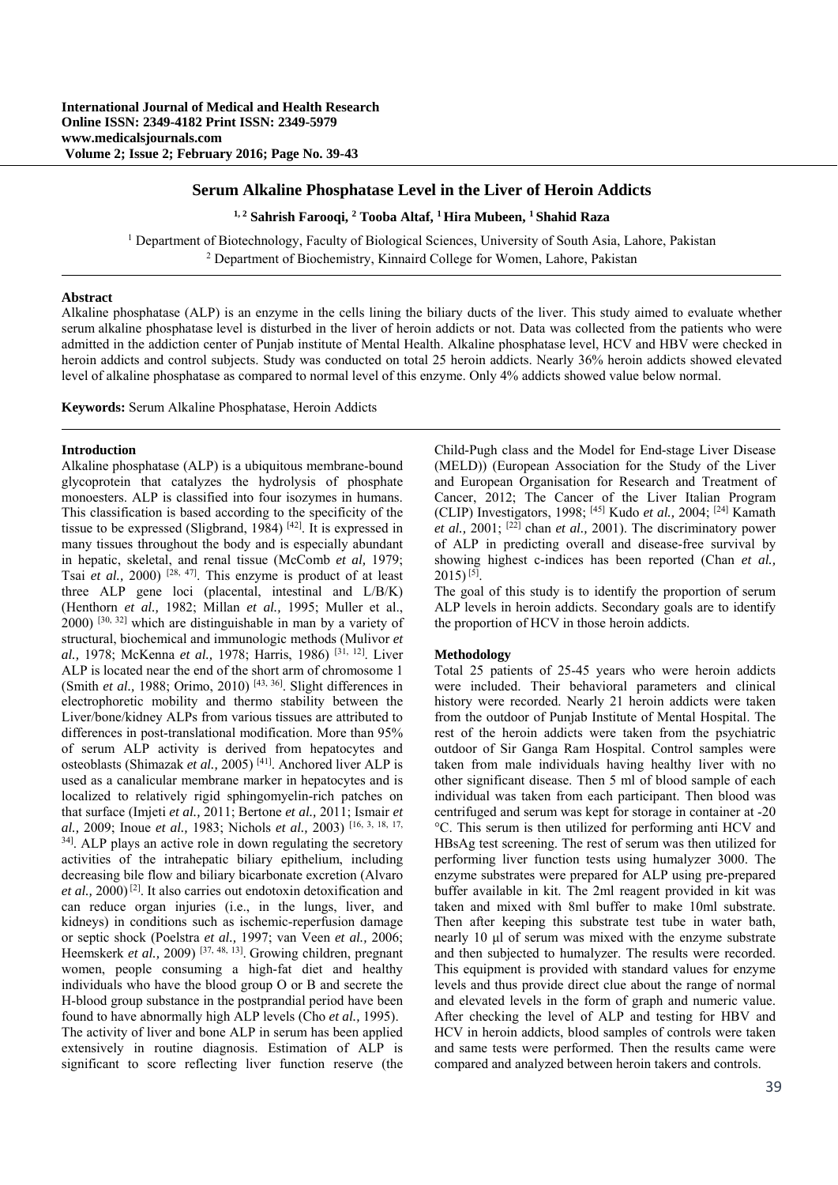## **Serum Alkaline Phosphatase Level in the Liver of Heroin Addicts**

**1, 2 Sahrish Farooqi, <sup>2</sup> Tooba Altaf, 1 Hira Mubeen, 1 Shahid Raza** 

<sup>1</sup> Department of Biotechnology, Faculty of Biological Sciences, University of South Asia, Lahore, Pakistan <sup>2</sup> Department of Biochemistry. Kinnaird College for Women J shore, Pakistan <sup>2</sup> Department of Biochemistry, Kinnaird College for Women, Lahore, Pakistan

## **Abstract**

Alkaline phosphatase (ALP) is an enzyme in the cells lining the biliary ducts of the liver. This study aimed to evaluate whether serum alkaline phosphatase level is disturbed in the liver of heroin addicts or not. Data was collected from the patients who were admitted in the addiction center of Punjab institute of Mental Health. Alkaline phosphatase level, HCV and HBV were checked in heroin addicts and control subjects. Study was conducted on total 25 heroin addicts. Nearly 36% heroin addicts showed elevated level of alkaline phosphatase as compared to normal level of this enzyme. Only 4% addicts showed value below normal.

**Keywords:** Serum Alkaline Phosphatase, Heroin Addicts

#### **Introduction**

Alkaline phosphatase (ALP) is a ubiquitous membrane-bound glycoprotein that catalyzes the hydrolysis of phosphate monoesters. ALP is classified into four isozymes in humans. This classification is based according to the specificity of the tissue to be expressed (Sligbrand, 1984) [42]. It is expressed in many tissues throughout the body and is especially abundant in hepatic, skeletal, and renal tissue (McComb *et al,* 1979; Tsai *et al.,* 2000) [28, 47]. This enzyme is product of at least three ALP gene loci (placental, intestinal and L/B/K) (Henthorn *et al.,* 1982; Millan *et al.,* 1995; Muller et al.,  $2000$ ) <sup>[30, 32]</sup> which are distinguishable in man by a variety of structural, biochemical and immunologic methods (Mulivor *et al.,* 1978; McKenna *et al.,* 1978; Harris, 1986) [31, 12]. Liver ALP is located near the end of the short arm of chromosome 1 (Smith *et al.,* 1988; Orimo, 2010) [43, 36]. Slight differences in electrophoretic mobility and thermo stability between the Liver/bone/kidney ALPs from various tissues are attributed to differences in post-translational modification. More than 95% of serum ALP activity is derived from hepatocytes and osteoblasts (Shimazak *et al.,* 2005) [41]. Anchored liver ALP is used as a canalicular membrane marker in hepatocytes and is localized to relatively rigid sphingomyelin-rich patches on that surface (Imjeti *et al.,* 2011; Bertone *et al.,* 2011; Ismair *et al.,* 2009; Inoue *et al.,* 1983; Nichols *et al.,* 2003) [16, 3, 18, 17, <sup>34]</sup>. ALP plays an active role in down regulating the secretory activities of the intrahepatic biliary epithelium, including decreasing bile flow and biliary bicarbonate excretion (Alvaro *et al.,* 2000) [2]. It also carries out endotoxin detoxification and can reduce organ injuries (i.e., in the lungs, liver, and kidneys) in conditions such as ischemic-reperfusion damage or septic shock (Poelstra *et al.,* 1997; van Veen *et al.,* 2006; Heemskerk *et al.*, 2009)<sup>[37, 48, <sup>13]</sup>. Growing children, pregnant</sup> women, people consuming a high-fat diet and healthy individuals who have the blood group O or B and secrete the H-blood group substance in the postprandial period have been found to have abnormally high ALP levels (Cho *et al.,* 1995). The activity of liver and bone ALP in serum has been applied extensively in routine diagnosis. Estimation of ALP is significant to score reflecting liver function reserve (the Child-Pugh class and the Model for End-stage Liver Disease (MELD)) (European Association for the Study of the Liver and European Organisation for Research and Treatment of Cancer, 2012; The Cancer of the Liver Italian Program (CLIP) Investigators, 1998; [45] Kudo *et al.,* 2004; [24] Kamath *et al.*,  $2001$ ;  $[22]$  chan *et al.*,  $2001$ ). The discriminatory power of ALP in predicting overall and disease-free survival by showing highest c-indices has been reported (Chan *et al.,*  $2015$ ) [5].

The goal of this study is to identify the proportion of serum ALP levels in heroin addicts. Secondary goals are to identify the proportion of HCV in those heroin addicts.

### **Methodology**

Total 25 patients of 25-45 years who were heroin addicts were included. Their behavioral parameters and clinical history were recorded. Nearly 21 heroin addicts were taken from the outdoor of Punjab Institute of Mental Hospital. The rest of the heroin addicts were taken from the psychiatric outdoor of Sir Ganga Ram Hospital. Control samples were taken from male individuals having healthy liver with no other significant disease. Then 5 ml of blood sample of each individual was taken from each participant. Then blood was centrifuged and serum was kept for storage in container at -20 °C. This serum is then utilized for performing anti HCV and HBsAg test screening. The rest of serum was then utilized for performing liver function tests using humalyzer 3000. The enzyme substrates were prepared for ALP using pre-prepared buffer available in kit. The 2ml reagent provided in kit was taken and mixed with 8ml buffer to make 10ml substrate. Then after keeping this substrate test tube in water bath, nearly 10 μl of serum was mixed with the enzyme substrate and then subjected to humalyzer. The results were recorded. This equipment is provided with standard values for enzyme levels and thus provide direct clue about the range of normal and elevated levels in the form of graph and numeric value. After checking the level of ALP and testing for HBV and HCV in heroin addicts, blood samples of controls were taken and same tests were performed. Then the results came were compared and analyzed between heroin takers and controls.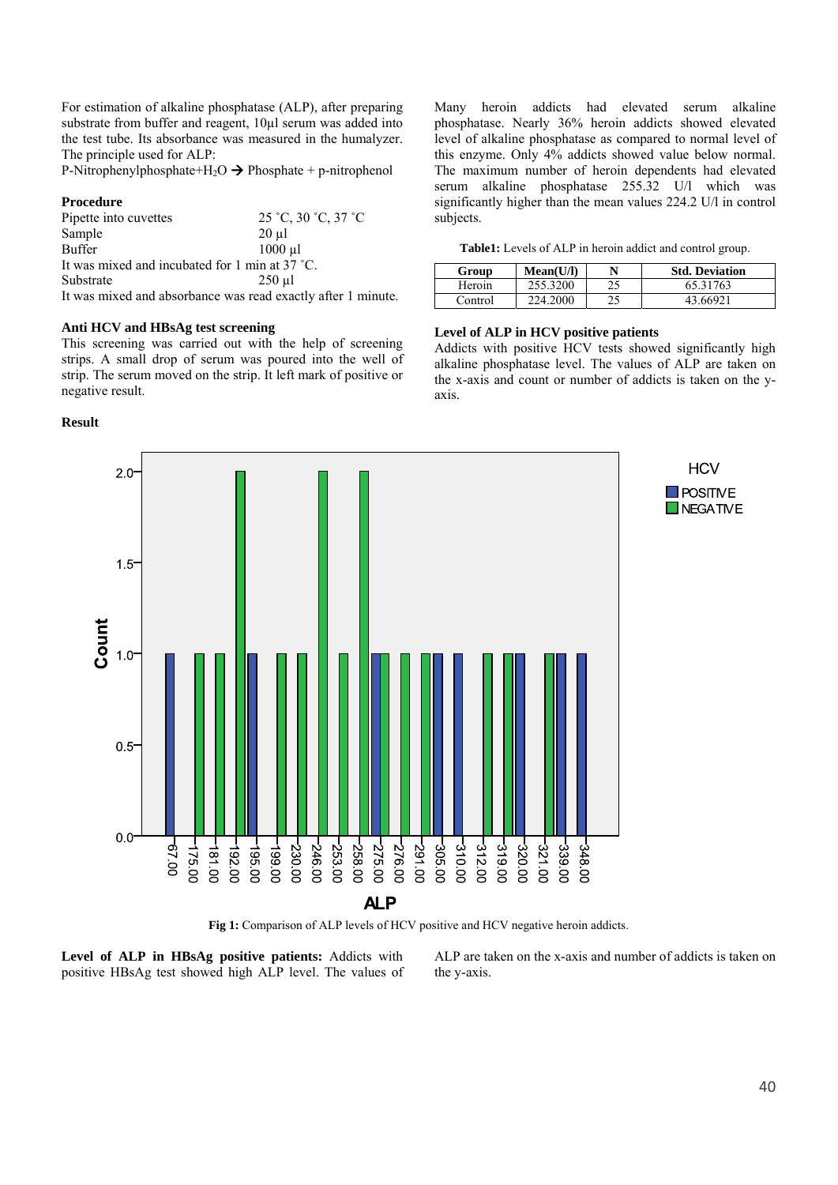For estimation of alkaline phosphatase (ALP), after preparing substrate from buffer and reagent, 10µl serum was added into the test tube. Its absorbance was measured in the humalyzer. The principle used for ALP:

P-Nitrophenylphosphate+H<sub>2</sub>O  $\rightarrow$  Phosphate + p-nitrophenol

### **Procedure**

| Pipette into cuvettes                          | $25 °C$ , $30 °C$ , $37 °C$ |  |  |  |  |
|------------------------------------------------|-----------------------------|--|--|--|--|
| Sample                                         | $20 \mu$ l                  |  |  |  |  |
| <b>Buffer</b>                                  | $1000$ $\mu$ l              |  |  |  |  |
| It was mixed and incubated for 1 min at 37 °C. |                             |  |  |  |  |
| Substrate                                      | $250$ µl                    |  |  |  |  |
|                                                |                             |  |  |  |  |

It was mixed and absorbance was read exactly after 1 minute.

### **Anti HCV and HBsAg test screening**

This screening was carried out with the help of screening strips. A small drop of serum was poured into the well of strip. The serum moved on the strip. It left mark of positive or negative result.

## **Result**

Many heroin addicts had elevated serum alkaline phosphatase. Nearly 36% heroin addicts showed elevated level of alkaline phosphatase as compared to normal level of this enzyme. Only 4% addicts showed value below normal. The maximum number of heroin dependents had elevated serum alkaline phosphatase 255.32 U/l which was significantly higher than the mean values 224.2 U/l in control subjects.

|  |  |  |  |  |  |  |  | Table1: Levels of ALP in heroin addict and control group. |  |
|--|--|--|--|--|--|--|--|-----------------------------------------------------------|--|
|--|--|--|--|--|--|--|--|-----------------------------------------------------------|--|

| Group   | Mean(U/I) |    | <b>Std. Deviation</b> |
|---------|-----------|----|-----------------------|
| Heroin  | 255.3200  | 25 | 65.31763              |
| Control | 224.2000  | າເ | 43 66921              |

# **Level of ALP in HCV positive patients**

Addicts with positive HCV tests showed significantly high alkaline phosphatase level. The values of ALP are taken on the x-axis and count or number of addicts is taken on the yaxis.



**Fig 1:** Comparison of ALP levels of HCV positive and HCV negative heroin addicts.

**Level of ALP in HBsAg positive patients:** Addicts with positive HBsAg test showed high ALP level. The values of ALP are taken on the x-axis and number of addicts is taken on the y-axis.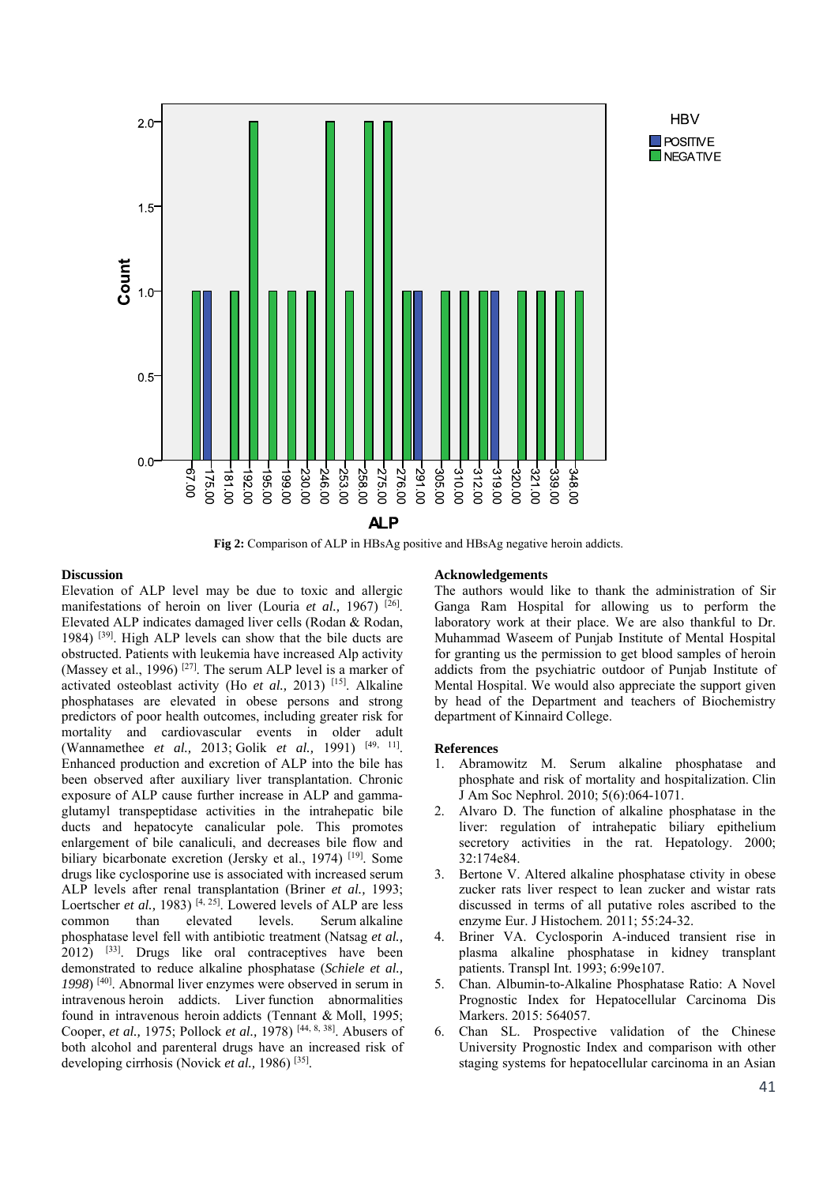

**Fig 2:** Comparison of ALP in HBsAg positive and HBsAg negative heroin addicts.

## **Discussion**

Elevation of ALP level may be due to toxic and allergic manifestations of heroin on liver (Louria *et al.*, 1967)<sup>[26]</sup>. Elevated ALP indicates damaged liver cells (Rodan & Rodan, 1984) [39]. High ALP levels can show that the bile ducts are obstructed. Patients with leukemia have increased Alp activity (Massey et al., 1996)<sup>[27]</sup>. The serum ALP level is a marker of activated osteoblast activity (Ho *et al.,* 2013) [15]. Alkaline phosphatases are elevated in obese persons and strong predictors of poor health outcomes, including greater risk for mortality and cardiovascular events in older adult (Wannamethee *et al.,* 2013; Golik *et al.,* 1991) [49, 11]. Enhanced production and excretion of ALP into the bile has been observed after auxiliary liver transplantation. Chronic exposure of ALP cause further increase in ALP and gammaglutamyl transpeptidase activities in the intrahepatic bile ducts and hepatocyte canalicular pole. This promotes enlargement of bile canaliculi, and decreases bile flow and biliary bicarbonate excretion (Jersky et al., 1974) <sup>[19]</sup>. Some drugs like cyclosporine use is associated with increased serum ALP levels after renal transplantation (Briner *et al.,* 1993; Loertscher *et al.*, 1983)<sup>[4, 25]. Lowered levels of ALP are less</sup> common than elevated levels. Serum alkaline phosphatase level fell with antibiotic treatment (Natsag *et al.,*  $2012$ )  $^{[33]}$ . Drugs like oral contraceptives have been demonstrated to reduce alkaline phosphatase (*Schiele et al., 1998*) [40]. Abnormal liver enzymes were observed in serum in intravenous heroin addicts. Liver function abnormalities found in intravenous heroin addicts (Tennant & Moll, 1995; Cooper, *et al.,* 1975; Pollock *et al.,* 1978) [44, 8, 38]. Abusers of both alcohol and parenteral drugs have an increased risk of developing cirrhosis (Novick *et al.,* 1986) [35].

#### **Acknowledgements**

The authors would like to thank the administration of Sir Ganga Ram Hospital for allowing us to perform the laboratory work at their place. We are also thankful to Dr. Muhammad Waseem of Punjab Institute of Mental Hospital for granting us the permission to get blood samples of heroin addicts from the psychiatric outdoor of Punjab Institute of Mental Hospital. We would also appreciate the support given by head of the Department and teachers of Biochemistry department of Kinnaird College.

**HBV** 

 $\blacksquare$  POSITIVE **NEGATIVE** 

#### **References**

- 1. Abramowitz M. Serum alkaline phosphatase and phosphate and risk of mortality and hospitalization. Clin J Am Soc Nephrol. 2010; 5(6):064-1071.
- 2. Alvaro D. The function of alkaline phosphatase in the liver: regulation of intrahepatic biliary epithelium secretory activities in the rat. Hepatology. 2000; 32:174e84.
- 3. Bertone V. Altered alkaline phosphatase ctivity in obese zucker rats liver respect to lean zucker and wistar rats discussed in terms of all putative roles ascribed to the enzyme Eur. J Histochem. 2011; 55:24-32.
- 4. Briner VA. Cyclosporin A-induced transient rise in plasma alkaline phosphatase in kidney transplant patients. Transpl Int. 1993; 6:99e107.
- 5. Chan. Albumin-to-Alkaline Phosphatase Ratio: A Novel Prognostic Index for Hepatocellular Carcinoma Dis Markers. 2015: 564057.
- 6. Chan SL. Prospective validation of the Chinese University Prognostic Index and comparison with other staging systems for hepatocellular carcinoma in an Asian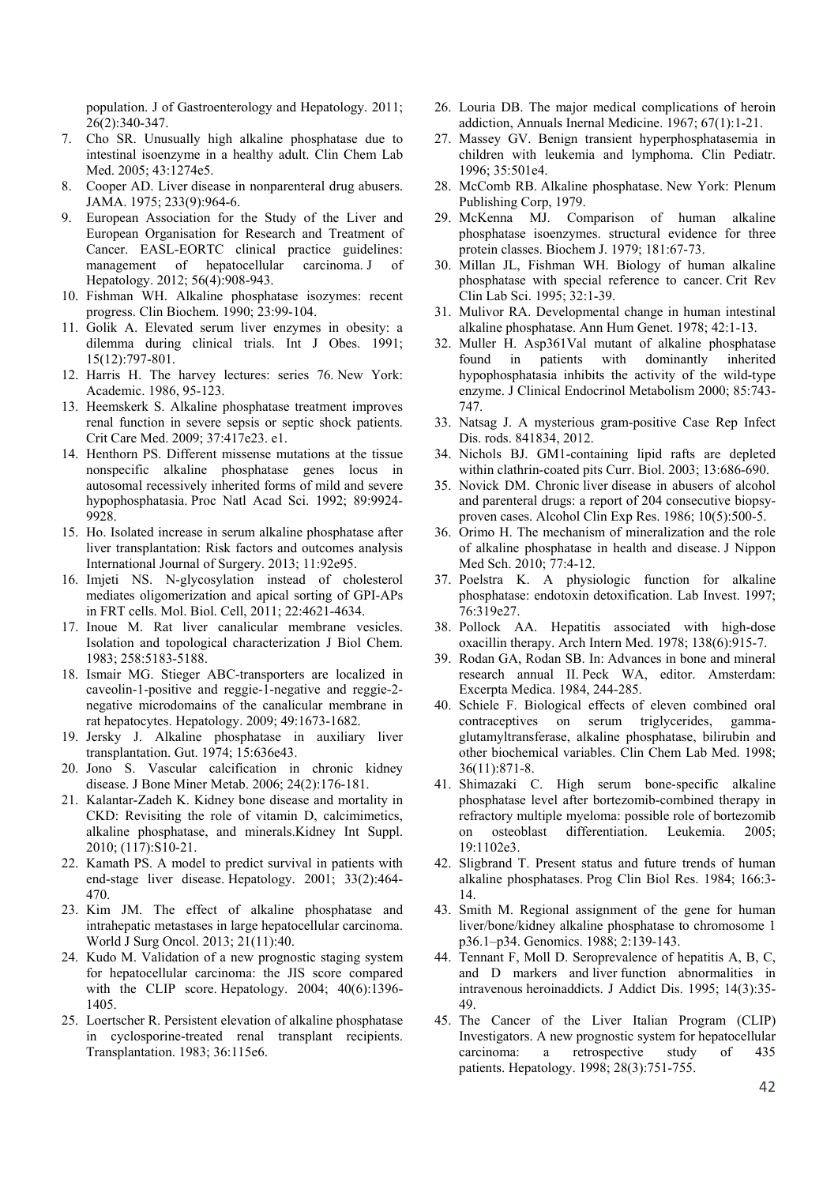population. J of Gastroenterology and Hepatology. 2011; 26(2):340-347.

- 7. Cho SR. Unusually high alkaline phosphatase due to intestinal isoenzyme in a healthy adult. Clin Chem Lab Med. 2005; 43:1274e5.
- 8. Cooper AD. Liver disease in nonparenteral drug abusers. JAMA. 1975; 233(9):964-6.
- 9. European Association for the Study of the Liver and European Organisation for Research and Treatment of Cancer. EASL-EORTC clinical practice guidelines: management of hepatocellular carcinoma. J of Hepatology. 2012; 56(4):908-943.
- 10. Fishman WH. Alkaline phosphatase isozymes: recent progress. Clin Biochem. 1990; 23:99-104.
- 11. Golik A. Elevated serum liver enzymes in obesity: a dilemma during clinical trials. Int J Obes. 1991; 15(12):797-801.
- 12. Harris H. The harvey lectures: series 76. New York: Academic. 1986, 95-123.
- 13. Heemskerk S. Alkaline phosphatase treatment improves renal function in severe sepsis or septic shock patients. Crit Care Med. 2009; 37:417e23. e1.
- 14. Henthorn PS. Different missense mutations at the tissue nonspecific alkaline phosphatase genes locus in autosomal recessively inherited forms of mild and severe hypophosphatasia. Proc Natl Acad Sci. 1992; 89:9924- 9928.
- 15. Ho. Isolated increase in serum alkaline phosphatase after liver transplantation: Risk factors and outcomes analysis International Journal of Surgery. 2013; 11:92e95.
- 16. Imjeti NS. N-glycosylation instead of cholesterol mediates oligomerization and apical sorting of GPI-APs in FRT cells. Mol. Biol. Cell, 2011; 22:4621-4634.
- 17. Inoue M. Rat liver canalicular membrane vesicles. Isolation and topological characterization J Biol Chem. 1983; 258:5183-5188.
- 18. Ismair MG. Stieger ABC-transporters are localized in caveolin-1-positive and reggie-1-negative and reggie-2 negative microdomains of the canalicular membrane in rat hepatocytes. Hepatology. 2009; 49:1673-1682.
- 19. Jersky J. Alkaline phosphatase in auxiliary liver transplantation. Gut. 1974; 15:636e43.
- 20. Jono S. Vascular calcification in chronic kidney disease. J Bone Miner Metab. 2006; 24(2):176-181.
- 21. Kalantar-Zadeh K. Kidney bone disease and mortality in CKD: Revisiting the role of vitamin D, calcimimetics, alkaline phosphatase, and minerals.Kidney Int Suppl. 2010; (117):S10-21.
- 22. Kamath PS. A model to predict survival in patients with end-stage liver disease. Hepatology. 2001; 33(2):464- 470.
- 23. Kim JM. The effect of alkaline phosphatase and intrahepatic metastases in large hepatocellular carcinoma. World J Surg Oncol. 2013; 21(11):40.
- 24. Kudo M. Validation of a new prognostic staging system for hepatocellular carcinoma: the JIS score compared with the CLIP score. Hepatology. 2004; 40(6):1396- 1405.
- 25. Loertscher R. Persistent elevation of alkaline phosphatase in cyclosporine-treated renal transplant recipients. Transplantation. 1983; 36:115e6.
- 26. Louria DB. The major medical complications of heroin addiction, Annuals Inernal Medicine. 1967; 67(1):1-21.
- 27. Massey GV. Benign transient hyperphosphatasemia in children with leukemia and lymphoma. Clin Pediatr. 1996; 35:501e4.
- 28. McComb RB. Alkaline phosphatase. New York: Plenum Publishing Corp, 1979.
- 29. McKenna MJ. Comparison of human alkaline phosphatase isoenzymes. structural evidence for three protein classes. Biochem J. 1979; 181:67-73.
- 30. Millan JL, Fishman WH. Biology of human alkaline phosphatase with special reference to cancer. Crit Rev Clin Lab Sci. 1995; 32:1-39.
- 31. Mulivor RA. Developmental change in human intestinal alkaline phosphatase. Ann Hum Genet. 1978; 42:1-13.
- 32. Muller H. Asp361Val mutant of alkaline phosphatase found in patients with dominantly inherited hypophosphatasia inhibits the activity of the wild-type enzyme. J Clinical Endocrinol Metabolism 2000; 85:743- 747.
- 33. Natsag J. A mysterious gram-positive Case Rep Infect Dis. rods. 841834, 2012.
- 34. Nichols BJ. GM1-containing lipid rafts are depleted within clathrin-coated pits Curr. Biol. 2003; 13:686-690.
- 35. Novick DM. Chronic liver disease in abusers of alcohol and parenteral drugs: a report of 204 consecutive biopsyproven cases. Alcohol Clin Exp Res. 1986; 10(5):500-5.
- 36. Orimo H. The mechanism of mineralization and the role of alkaline phosphatase in health and disease. J Nippon Med Sch. 2010; 77:4-12.
- 37. Poelstra K. A physiologic function for alkaline phosphatase: endotoxin detoxification. Lab Invest. 1997; 76:319e27.
- 38. Pollock AA. Hepatitis associated with high-dose oxacillin therapy. Arch Intern Med. 1978; 138(6):915-7.
- 39. Rodan GA, Rodan SB. In: Advances in bone and mineral research annual II. Peck WA, editor. Amsterdam: Excerpta Medica. 1984, 244-285.
- 40. Schiele F. Biological effects of eleven combined oral contraceptives on serum triglycerides, gammaglutamyltransferase, alkaline phosphatase, bilirubin and other biochemical variables. Clin Chem Lab Med. 1998; 36(11):871-8.
- 41. Shimazaki C. High serum bone-specific alkaline phosphatase level after bortezomib-combined therapy in refractory multiple myeloma: possible role of bortezomib on osteoblast differentiation. Leukemia. 2005; 19:1102e3.
- 42. Sligbrand T. Present status and future trends of human alkaline phosphatases. Prog Clin Biol Res. 1984; 166:3- 14.
- 43. Smith M. Regional assignment of the gene for human liver/bone/kidney alkaline phosphatase to chromosome 1 p36.1–p34. Genomics. 1988; 2:139-143.
- 44. Tennant F, Moll D. Seroprevalence of hepatitis A, B, C, and D markers and liver function abnormalities in intravenous heroinaddicts. J Addict Dis. 1995; 14(3):35- 49.
- 45. The Cancer of the Liver Italian Program (CLIP) Investigators. A new prognostic system for hepatocellular carcinoma: a retrospective study of 435 patients. Hepatology. 1998; 28(3):751-755.